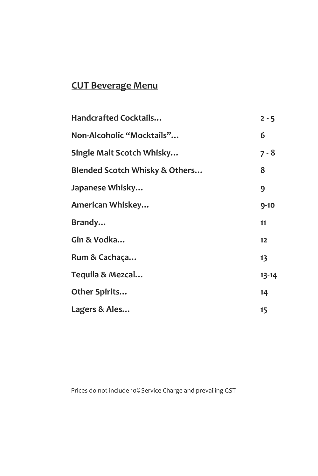# **CUT Beverage Menu**

| <b>Handcrafted Cocktails</b>              | $2 - 5$   |
|-------------------------------------------|-----------|
| Non-Alcoholic "Mocktails"                 | 6         |
| Single Malt Scotch Whisky                 | 7 - 8     |
| <b>Blended Scotch Whisky &amp; Others</b> | 8         |
| Japanese Whisky                           | 9         |
| American Whiskey                          | $9 - 10$  |
| Brandy                                    | 11        |
| Gin & Vodka                               | 12        |
| Rum & Cachaça                             | 13        |
| Tequila & Mezcal                          | $13 - 14$ |
| Other Spirits                             | 14        |
| Lagers & Ales                             | 15        |

Prices do not include 10% Service Charge and prevailing GST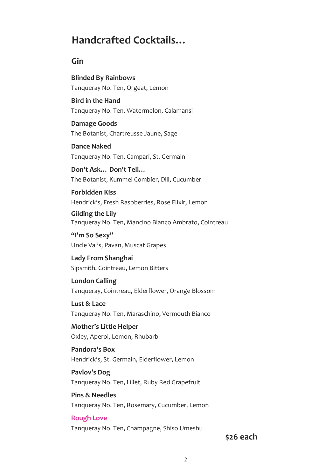# **Handcrafted Cocktails…**

#### **Gin**

**Blinded By Rainbows** Tanqueray No. Ten, Orgeat, Lemon

**Bird in the Hand** Tanqueray No. Ten, Watermelon, Calamansi

**Damage Goods** The Botanist, Chartreusse Jaune, Sage

**Dance Naked** Tanqueray No. Ten, Campari, St. Germain

**Don't Ask… Don't Tell…** The Botanist, Kummel Combier, Dill, Cucumber

**Forbidden Kiss** Hendrick's, Fresh Raspberries, Rose Elixir, Lemon

**Gilding the Lily** Tanqueray No. Ten, Mancino Bianco Ambrato, Cointreau

**"I'm So Sexy"** Uncle Val's, Pavan, Muscat Grapes

**Lady From Shanghai** Sipsmith, Cointreau, Lemon Bitters

**London Calling** Tanqueray, Cointreau, Elderflower, Orange Blossom

**Lust & Lace** Tanqueray No. Ten, Maraschino, Vermouth Bianco

**Mother's Little Helper** Oxley, Aperol, Lemon, Rhubarb

**Pandora's Box** Hendrick's, St. Germain, Elderflower, Lemon

**Pavlov's Dog** Tanqueray No. Ten, Lillet, Ruby Red Grapefruit

**Pins & Needles** Tanqueray No. Ten, Rosemary, Cucumber, Lemon

**Rough Love** Tanqueray No. Ten, Champagne, Shiso Umeshu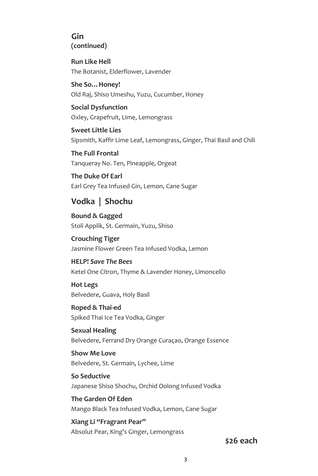#### **Gin (continued)**

**Run Like Hell** The Botanist, Elderflower, Lavender

**She So…Honey!** Old Raj, Shiso Umeshu, Yuzu, Cucumber, Honey

**Social Dysfunction** Oxley, Grapefruit, Lime, Lemongrass

**Sweet Little Lies** Sipsmith, Kaffir Lime Leaf, Lemongrass, Ginger, Thai Basil and Chili

**The Full Frontal** Tanqueray No. Ten, Pineapple, Orgeat

**The Duke Of Earl** Earl Grey Tea Infused Gin, Lemon, Cane Sugar

### **Vodka | Shochu**

**Bound & Gagged** Stoli Applik, St. Germain, Yuzu, Shiso

**Crouching Tiger** Jasmine Flower Green Tea Infused Vodka, Lemon

**HELP!** *Save The Bees* Ketel One Citron, Thyme & Lavender Honey, Limoncello

**Hot Legs** Belvedere, Guava, Holy Basil

**Roped & Thai-ed** Spiked Thai Ice Tea Vodka, Ginger

**Sexual Healing** Belvedere, Ferrand Dry Orange Curaçao, Orange Essence

**Show Me Love** Belvedere, St. Germain, Lychee, Lime

**So Seductive** Japanese Shiso Shochu, Orchid Oolong Infused Vodka

**The Garden Of Eden**  Mango Black Tea Infused Vodka, Lemon, Cane Sugar

**Xiang Li "Fragrant Pear"**  Absolut Pear, King's Ginger, Lemongrass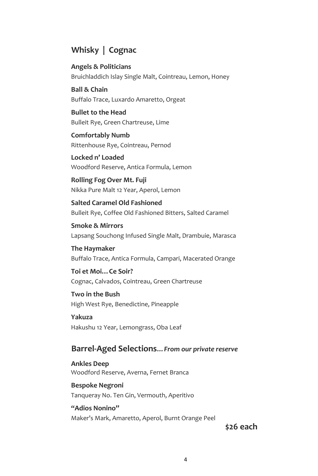#### **Whisky | Cognac**

**Angels & Politicians** Bruichladdich Islay Single Malt, Cointreau, Lemon, Honey

**Ball & Chain** Buffalo Trace, Luxardo Amaretto, Orgeat

**Bullet to the Head** Bulleit Rye, Green Chartreuse, Lime

**Comfortably Numb** Rittenhouse Rye, Cointreau, Pernod

**Locked n' Loaded** Woodford Reserve, Antica Formula, Lemon

**Rolling Fog Over Mt. Fuji** Nikka Pure Malt 12 Year, Aperol, Lemon

**Salted Caramel Old Fashioned** Bulleit Rye, Coffee Old Fashioned Bitters, Salted Caramel

**Smoke & Mirrors** Lapsang Souchong Infused Single Malt, Drambuie, Marasca

**The Haymaker** Buffalo Trace, Antica Formula, Campari, Macerated Orange

**Toi et Moi…Ce Soir?** Cognac, Calvados, Cointreau, Green Chartreuse

**Two in the Bush** High West Rye, Benedictine, Pineapple

**Yakuza** Hakushu 12 Year, Lemongrass, Oba Leaf

### **Barrel-Aged Selections***…From our private reserve*

**Ankles Deep** Woodford Reserve, Averna, Fernet Branca

**Bespoke Negroni** Tanqueray No. Ten Gin, Vermouth, Aperitivo

**"Adios Nonino"** Maker's Mark, Amaretto, Aperol, Burnt Orange Peel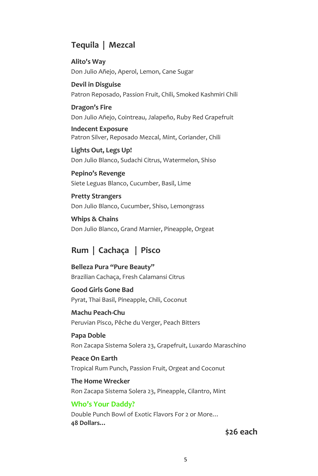#### **Tequila | Mezcal**

**Alito's Way** Don Julio Añejo, Aperol, Lemon, Cane Sugar

**Devil in Disguise** Patron Reposado, Passion Fruit, Chili, Smoked Kashmiri Chili

#### **Dragon's Fire** Don Julio Añejo, Cointreau, Jalapeño, Ruby Red Grapefruit

**Indecent Exposure**

Patron Silver, Reposado Mezcal, Mint, Coriander, Chili

**Lights Out, Legs Up!** Don Julio Blanco, Sudachi Citrus, Watermelon, Shiso

**Pepino's Revenge** Siete Leguas Blanco, Cucumber, Basil, Lime

**Pretty Strangers** Don Julio Blanco, Cucumber, Shiso, Lemongrass

**Whips & Chains** Don Julio Blanco, Grand Marnier, Pineapple, Orgeat

### **Rum | Cachaça | Pisco**

**Belleza Pura "Pure Beauty"** Brazilian Cachaça, Fresh Calamansi Citrus

**Good Girls Gone Bad** Pyrat, Thai Basil, Pineapple, Chili, Coconut

**Machu Peach-Chu** Peruvian Pisco, Pêche du Verger, Peach Bitters

**Papa Doble** Ron Zacapa Sistema Solera 23, Grapefruit, Luxardo Maraschino

**Peace On Earth** Tropical Rum Punch, Passion Fruit, Orgeat and Coconut

**The Home Wrecker** Ron Zacapa Sistema Solera 23, Pineapple, Cilantro, Mint

#### **Who's Your Daddy?**

Double Punch Bowl of Exotic Flavors For 2 or More… **48 Dollars…**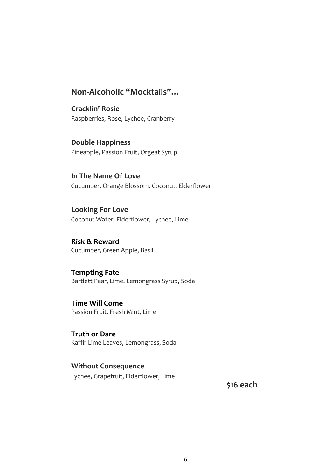#### **Non-Alcoholic "Mocktails"…**

**Cracklin' Rosie** Raspberries, Rose, Lychee, Cranberry

**Double Happiness** Pineapple, Passion Fruit, Orgeat Syrup

**In The Name Of Love** Cucumber, Orange Blossom, Coconut, Elderflower

**Looking For Love** Coconut Water, Elderflower, Lychee, Lime

**Risk & Reward** Cucumber, Green Apple, Basil

**Tempting Fate** Bartlett Pear, Lime, Lemongrass Syrup, Soda

**Time Will Come** Passion Fruit, Fresh Mint, Lime

**Truth or Dare** Kaffir Lime Leaves, Lemongrass, Soda

**Without Consequence** Lychee, Grapefruit, Elderflower, Lime

**\$16 each**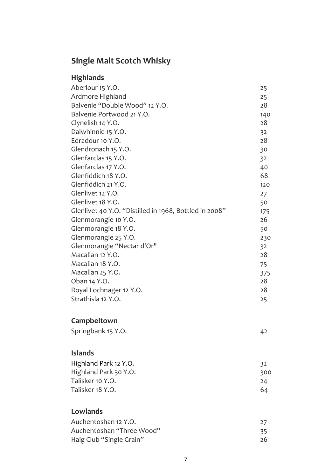# **Single Malt Scotch Whisky**

| <b>Highlands</b> |  |
|------------------|--|
|------------------|--|

| Aberlour 15 Y.O.                                       | 25  |
|--------------------------------------------------------|-----|
| Ardmore Highland                                       | 25  |
| Balvenie "Double Wood" 12 Y.O.                         | 28  |
| Balvenie Portwood 21 Y.O.                              | 140 |
| Clynelish 14 Y.O.                                      | 28  |
| Dalwhinnie 15 Y.O.                                     | 32  |
| Edradour 10 Y.O.                                       | 28  |
| Glendronach 15 Y.O.                                    | 30  |
| Glenfarclas 15 Y.O.                                    | 32  |
| Glenfarclas 17 Y.O.                                    | 40  |
| Glenfiddich 18 Y.O.                                    | 68  |
| Glenfiddich 21 Y.O.                                    | 120 |
| Glenlivet 12 Y.O.                                      | 27  |
| Glenlivet 18 Y.O.                                      | 50  |
| Glenlivet 40 Y.O. "Distilled in 1968, Bottled in 2008" | 175 |
| Glenmorangie 10 Y.O.                                   | 26  |
| Glenmorangie 18 Y.O.                                   | 50  |
| Glenmorangie 25 Y.O.                                   | 230 |
| Glenmorangie "Nectar d'Or"                             | 32  |
| Macallan 12 Y.O.                                       | 28  |
| Macallan 18 Y.O.                                       | 75  |
| Macallan 25 Y.O.                                       | 375 |
| Oban 14 Y.O.                                           | 28  |
| Royal Lochnager 12 Y.O.                                | 28  |
| Strathisla 12 Y.O.                                     | 25  |

### **Campbeltown**

| Springbank 15 Y.O. |  |
|--------------------|--|
|                    |  |

### **Islands**

| Highland Park 12 Y.O. | 32  |
|-----------------------|-----|
| Highland Park 30 Y.O. | 300 |
| Talisker 10 Y.O.      | 24  |
| Talisker 18 Y.O.      | 64  |

### **Lowlands**

| Auchentoshan 12 Y.O.      |    |
|---------------------------|----|
| Auchentoshan "Three Wood" | 35 |
| Haig Club "Single Grain"  | 26 |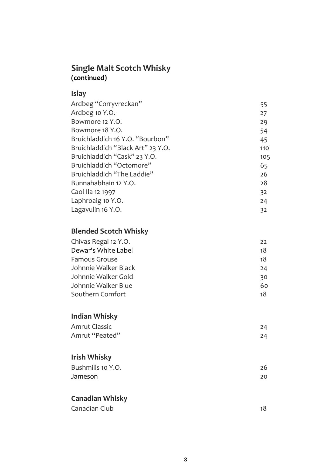### **Single Malt Scotch Whisky (continued)**

### **Islay**

| Ardbeg "Corryvreckan"             | 55  |
|-----------------------------------|-----|
| Ardbeg 10 Y.O.                    | 27  |
| Bowmore 12 Y.O.                   | 29  |
| Bowmore 18 Y.O.                   | 54  |
| Bruichladdich 16 Y.O. "Bourbon"   | 45  |
| Bruichladdich "Black Art" 23 Y.O. | 110 |
| Bruichladdich "Cask" 23 Y.O.      | 105 |
| Bruichladdich "Octomore"          | 65  |
| Bruichladdich "The Laddie"        | 26  |
| Bunnahabhain 12 Y.O.              | 28  |
| Caol Ila 12 1997                  | 32  |
| Laphroaig 10 Y.O.                 | 24  |
| Lagavulin 16 Y.O.                 | 32  |

#### **Blended Scotch Whisky**

| Chivas Regal 12 Y.O. | 22 |
|----------------------|----|
| Dewar's White Label  | 18 |
| <b>Famous Grouse</b> | 18 |
| Johnnie Walker Black | 24 |
| Johnnie Walker Gold  | 30 |
| Johnnie Walker Blue  | 60 |
| Southern Comfort     | 18 |
|                      |    |

### **Indian Whisky**

| <b>Amrut Classic</b> | 24 |
|----------------------|----|
| Amrut "Peated"       | 24 |

### **Irish Whisky**

| Bushmills 10 Y.O. | 26 |
|-------------------|----|
| Jameson           | 20 |

### **Canadian Whisky**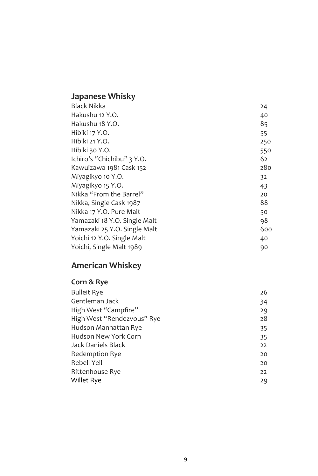# **Japanese Whisky**

| <b>Black Nikka</b>           | 24  |
|------------------------------|-----|
| Hakushu 12 Y.O.              | 40  |
| Hakushu 18 Y.O.              | 85  |
| Hibiki 17 Y.O.               | 55  |
| Hibiki 21 Y.O.               | 250 |
| Hibiki 30 Y.O.               | 550 |
| Ichiro's "Chichibu" 3 Y.O.   | 62  |
| Kawuizawa 1981 Cask 152      | 280 |
| Miyagikyo 10 Y.O.            | 32  |
| Miyagikyo 15 Y.O.            | 43  |
| Nikka "From the Barrel"      | 20  |
| Nikka, Single Cask 1987      | 88  |
| Nikka 17 Y.O. Pure Malt      | 50  |
| Yamazaki 18 Y.O. Single Malt | 98  |
| Yamazaki 25 Y.O. Single Malt | 600 |
| Yoichi 12 Y.O. Single Malt   | 40  |
| Yoichi, Single Malt 1989     | 90  |
|                              |     |

# **American Whiskey**

### **Corn & Rye**

| <b>Bulleit Rye</b>         | 26 |
|----------------------------|----|
| Gentleman Jack             | 34 |
| High West "Campfire"       | 29 |
| High West "Rendezvous" Rye | 28 |
| Hudson Manhattan Rye       | 35 |
| Hudson New York Corn       | 35 |
| <b>Jack Daniels Black</b>  | 22 |
| <b>Redemption Rye</b>      | 20 |
| <b>Rebell Yell</b>         | 20 |
| Rittenhouse Rye            | 22 |
| Willet Rye                 | 29 |
|                            |    |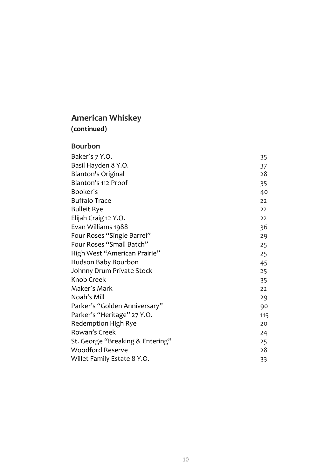## **American Whiskey (continued)**

#### **Bourbon**

| Baker's 7 Y.O.                   | 35  |
|----------------------------------|-----|
| Basil Hayden 8 Y.O.              | 37  |
| <b>Blanton's Original</b>        | 28  |
| Blanton's 112 Proof              | 35  |
| Booker's                         | 40  |
| <b>Buffalo Trace</b>             | 22  |
| <b>Bulleit Rye</b>               | 22  |
| Elijah Craig 12 Y.O.             | 22  |
| Evan Williams 1988               | 36  |
| Four Roses "Single Barrel"       | 29  |
| Four Roses "Small Batch"         | 25  |
| High West "American Prairie"     | 25  |
| Hudson Baby Bourbon              | 45  |
| Johnny Drum Private Stock        | 25  |
| Knob Creek                       | 35  |
| Maker's Mark                     | 22  |
| Noah's Mill                      | 29  |
| Parker's "Golden Anniversary"    | 90  |
| Parker's "Heritage" 27 Y.O.      | 115 |
| Redemption High Rye              | 20  |
| Rowan's Creek                    | 24  |
| St. George "Breaking & Entering" | 25  |
| <b>Woodford Reserve</b>          | 28  |
| Willet Family Estate 8 Y.O.      | 33  |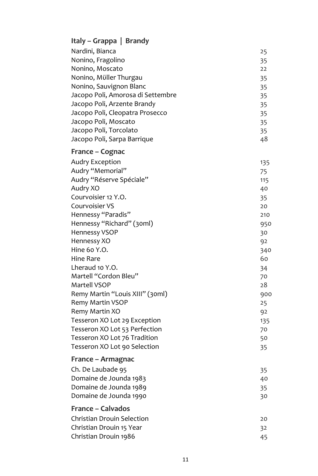## **Italy – Grappa | Brandy**

| Nardini, Bianca                   | 25  |
|-----------------------------------|-----|
| Nonino, Fragolino                 | 35  |
| Nonino, Moscato                   | 22  |
| Nonino, Müller Thurgau            | 35  |
| Nonino, Sauvignon Blanc           | 35  |
| Jacopo Poli, Amorosa di Settembre | 35  |
| Jacopo Poli, Arzente Brandy       | 35  |
| Jacopo Poli, Cleopatra Prosecco   | 35  |
| Jacopo Poli, Moscato              | 35  |
| Jacopo Poli, Torcolato            | 35  |
| Jacopo Poli, Sarpa Barrique       | 48  |
| France – Cognac                   |     |
| <b>Audry Exception</b>            | 135 |
| Audry "Memorial"                  | 75  |
| Audry "Réserve Spéciale"          | 115 |
| Audry XO                          | 40  |
| Courvoisier 12 Y.O.               | 35  |
| Courvoisier VS                    | 20  |
| Hennessy "Paradis"                | 210 |
| Hennessy "Richard" (30ml)         | 950 |
| <b>Hennessy VSOP</b>              | 30  |
| Hennessy XO                       | 92  |
| Hine 60 Y.O.                      | 340 |
| <b>Hine Rare</b>                  | 60  |
| Lheraud 10 Y.O.                   | 34  |
| Martell "Cordon Bleu"             | 70  |
| Martell VSOP                      | 28  |
| Remy Martin "Louis XIII" (30ml)   | 900 |
| Remy Martin VSOP                  | 25  |
| Remy Martin XO                    | 92  |
| Tesseron XO Lot 29 Exception      | 135 |
| Tesseron XO Lot 53 Perfection     | 70  |
| Tesseron XO Lot 76 Tradition      | 50  |
| Tesseron XO Lot 90 Selection      | 35  |
| France – Armagnac                 |     |
| Ch. De Laubade 95                 | 35  |
| Domaine de Jounda 1983            | 40  |
| Domaine de Jounda 1989            | 35  |
| Domaine de Jounda 1990            | 30  |
| <b>France - Calvados</b>          |     |
| <b>Christian Drouin Selection</b> | 20  |
| Christian Drouin 15 Year          | 32  |
| Christian Drouin 1986             | 45  |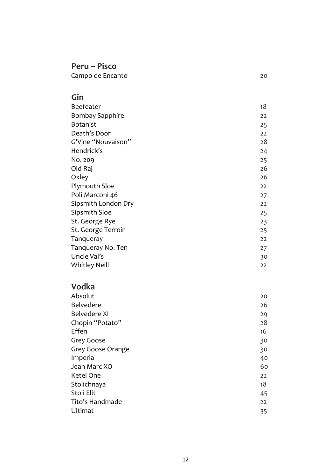### **Peru – Pisco**

Campo de Encanto 20

### **Gin**

| <b>Beefeater</b>       | 18 |
|------------------------|----|
| <b>Bombay Sapphire</b> | 22 |
| <b>Botanist</b>        | 25 |
| Death's Door           | 22 |
| G'Vine "Nouvaison"     | 28 |
| Hendrick's             | 24 |
| No. 209                | 25 |
| Old Raj                | 26 |
| Oxley                  | 26 |
| <b>Plymouth Sloe</b>   | 22 |
| Poli Marconi 46        | 27 |
| Sipsmith London Dry    | 22 |
| Sipsmith Sloe          | 25 |
| St. George Rye         | 23 |
| St. George Terroir     | 25 |
| Tanqueray              | 22 |
| Tanqueray No. Ten      | 27 |
| Uncle Val's            | 30 |
| <b>Whitley Neill</b>   | 22 |

### **Vodka**

| Absolut           | 20 |
|-------------------|----|
| <b>Belvedere</b>  | 26 |
| Belvedere XI      | 29 |
| Chopin "Potato"   | 28 |
| Effen             | 16 |
| Grey Goose        | 30 |
| Grey Goose Orange | 30 |
| Imperia           | 40 |
| Jean Marc XO      | 60 |
| Ketel One         | 22 |
| Stolichnaya       | 18 |
| Stoli Elit        | 45 |
| Tito's Handmade   | 22 |
| Ultimat           | 35 |
|                   |    |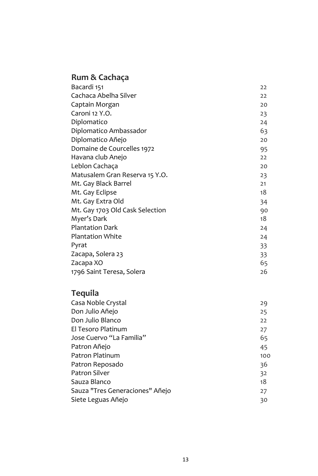# **Rum & Cachaça**

| Bacardi 151                     | 22 |
|---------------------------------|----|
| Cachaca Abelha Silver           | 22 |
| Captain Morgan                  | 20 |
| Caroni 12 Y.O.                  | 23 |
| Diplomatico                     | 24 |
| Diplomatico Ambassador          | 63 |
| Diplomatico Añejo               | 20 |
| Domaine de Courcelles 1972      | 95 |
| Havana club Anejo               | 22 |
| Leblon Cachaça                  | 20 |
| Matusalem Gran Reserva 15 Y.O.  | 23 |
| Mt. Gay Black Barrel            | 21 |
| Mt. Gay Eclipse                 | 18 |
| Mt. Gay Extra Old               | 34 |
| Mt. Gay 1703 Old Cask Selection | 90 |
| Myer's Dark                     | 18 |
| <b>Plantation Dark</b>          | 24 |
| <b>Plantation White</b>         | 24 |
| Pyrat                           | 33 |
| Zacapa, Solera 23               | 33 |
| Zacapa XO                       | 65 |
| 1796 Saint Teresa, Solera       | 26 |

# **Tequila**

| Casa Noble Crystal              | 29  |
|---------------------------------|-----|
| Don Julio Añejo                 | 25  |
| Don Julio Blanco                | 22  |
| El Tesoro Platinum              | 27  |
| Jose Cuervo "La Familia"        | 65  |
| Patron Añejo                    | 45  |
| Patron Platinum                 | 100 |
| Patron Reposado                 | 36  |
| <b>Patron Silver</b>            | 32  |
| Sauza Blanco                    | 18  |
| Sauza "Tres Generaciones" Añejo | 27  |
| Siete Leguas Añejo              | 30  |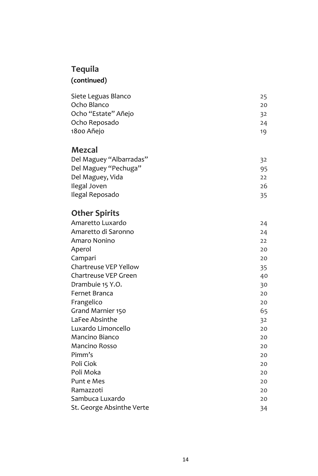# **Tequila**

## **(continued)**

| Siete Leguas Blanco | 25 |
|---------------------|----|
| Ocho Blanco         | 20 |
| Ocho "Estate" Añejo | 32 |
| Ocho Reposado       | 24 |
| 1800 Añejo          | 19 |

### **Mezcal**

| Del Maguey "Albarradas" | 32  |
|-------------------------|-----|
| Del Maguey "Pechuga"    | 95  |
| Del Maguey, Vida        | 22  |
| Ilegal Joven            | 26  |
| Ilegal Reposado         | 35. |

# **Other Spirits**

| Amaretto Luxardo          | 24 |
|---------------------------|----|
| Amaretto di Saronno       | 24 |
| Amaro Nonino              | 22 |
| Aperol                    | 20 |
| Campari                   | 20 |
| Chartreuse VEP Yellow     | 35 |
| Chartreuse VEP Green      | 40 |
| Drambuie 15 Y.O.          | 30 |
| Fernet Branca             | 20 |
| Frangelico                | 20 |
| Grand Marnier 150         | 65 |
| LaFee Absinthe            | 32 |
| Luxardo Limoncello        | 20 |
| Mancino Bianco            | 20 |
| <b>Mancino Rosso</b>      | 20 |
| Pimm's                    | 20 |
| Poli Ciok                 | 20 |
| Poli Moka                 | 20 |
| Punt e Mes                | 20 |
| Ramazzoti                 | 20 |
| Sambuca Luxardo           | 20 |
| St. George Absinthe Verte | 34 |